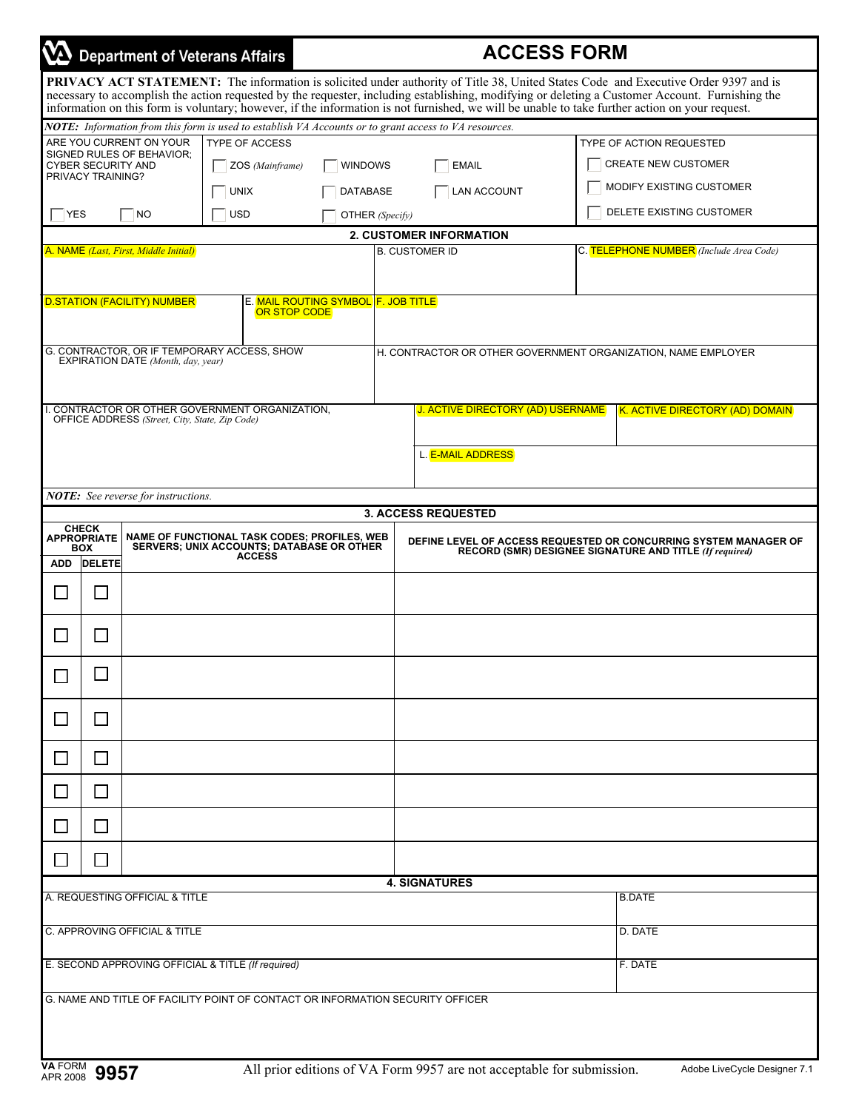|                                                                                                                                                                                             |                             |                                                      | <b>Department of Veterans Affairs</b>                                                                 | <b>ACCESS FORM</b>                               |                                                                                                                             |                            |  |                                                                                                                                                                                                                                                                                                                                                                              |  |
|---------------------------------------------------------------------------------------------------------------------------------------------------------------------------------------------|-----------------------------|------------------------------------------------------|-------------------------------------------------------------------------------------------------------|--------------------------------------------------|-----------------------------------------------------------------------------------------------------------------------------|----------------------------|--|------------------------------------------------------------------------------------------------------------------------------------------------------------------------------------------------------------------------------------------------------------------------------------------------------------------------------------------------------------------------------|--|
|                                                                                                                                                                                             |                             |                                                      |                                                                                                       |                                                  |                                                                                                                             |                            |  | <b>PRIVACY ACT STATEMENT:</b> The information is solicited under authority of Title 38, United States Code and Executive Order 9397 and is<br>necessary to accomplish the action requested by the requester, including establishing, modifying or deleting a Customer Account. Furnishing the information on this form is voluntary; however, if the information is not furn |  |
|                                                                                                                                                                                             |                             |                                                      | NOTE: Information from this form is used to establish VA Accounts or to grant access to VA resources. |                                                  |                                                                                                                             |                            |  |                                                                                                                                                                                                                                                                                                                                                                              |  |
|                                                                                                                                                                                             |                             | ARE YOU CURRENT ON YOUR<br>SIGNED RULES OF BEHAVIOR; | <b>TYPE OF ACCESS</b>                                                                                 |                                                  |                                                                                                                             |                            |  | TYPE OF ACTION REQUESTED                                                                                                                                                                                                                                                                                                                                                     |  |
| CYBER SECURITY AND<br>PRIVACY TRAINING?                                                                                                                                                     |                             |                                                      | ZOS (Mainframe)                                                                                       | <b>WINDOWS</b>                                   |                                                                                                                             | <b>EMAIL</b>               |  | <b>CREATE NEW CUSTOMER</b>                                                                                                                                                                                                                                                                                                                                                   |  |
|                                                                                                                                                                                             |                             |                                                      | <b>UNIX</b>                                                                                           | <b>DATABASE</b>                                  |                                                                                                                             | <b>LAN ACCOUNT</b>         |  | MODIFY EXISTING CUSTOMER                                                                                                                                                                                                                                                                                                                                                     |  |
| <b>YES</b>                                                                                                                                                                                  |                             | $\neg$ NO                                            | <b>USD</b>                                                                                            | OTHER (Specify)                                  |                                                                                                                             |                            |  | DELETE EXISTING CUSTOMER                                                                                                                                                                                                                                                                                                                                                     |  |
| <b>2. CUSTOMER INFORMATION</b><br>A. NAME (Last, First, Middle Initial)<br>C. TELEPHONE NUMBER (Include Area Code)<br><b>B. CUSTOMER ID</b>                                                 |                             |                                                      |                                                                                                       |                                                  |                                                                                                                             |                            |  |                                                                                                                                                                                                                                                                                                                                                                              |  |
|                                                                                                                                                                                             |                             |                                                      |                                                                                                       |                                                  |                                                                                                                             |                            |  |                                                                                                                                                                                                                                                                                                                                                                              |  |
|                                                                                                                                                                                             |                             | <b>D.STATION (FACILITY) NUMBER</b>                   | OR STOP CODE                                                                                          | E. <mark>MAIL ROUTING SYMBOL F. JOB TITLE</mark> |                                                                                                                             |                            |  |                                                                                                                                                                                                                                                                                                                                                                              |  |
|                                                                                                                                                                                             |                             | EXPIRATION DATE (Month, day, year)                   | G. CONTRACTOR, OR IF TEMPORARY ACCESS, SHOW                                                           |                                                  |                                                                                                                             |                            |  | H. CONTRACTOR OR OTHER GOVERNMENT ORGANIZATION, NAME EMPLOYER                                                                                                                                                                                                                                                                                                                |  |
| I. CONTRACTOR OR OTHER GOVERNMENT ORGANIZATION.<br>J. ACTIVE DIRECTORY (AD) USERNAME<br>OFFICE ADDRESS (Street, City, State, Zip Code)                                                      |                             |                                                      |                                                                                                       |                                                  |                                                                                                                             |                            |  | K. ACTIVE DIRECTORY (AD) DOMAIN                                                                                                                                                                                                                                                                                                                                              |  |
|                                                                                                                                                                                             |                             |                                                      |                                                                                                       |                                                  |                                                                                                                             | L. E-MAIL ADDRESS          |  |                                                                                                                                                                                                                                                                                                                                                                              |  |
|                                                                                                                                                                                             |                             | <b>NOTE:</b> See reverse for instructions.           |                                                                                                       |                                                  |                                                                                                                             |                            |  |                                                                                                                                                                                                                                                                                                                                                                              |  |
|                                                                                                                                                                                             | <b>CHECK</b>                |                                                      |                                                                                                       |                                                  |                                                                                                                             | <b>3. ACCESS REQUESTED</b> |  |                                                                                                                                                                                                                                                                                                                                                                              |  |
| <b>NAME OF FUNCTIONAL TASK CODES; PROFILES, WEB</b><br><b>APPROPRIATE</b><br><b>SERVERS; UNIX ACCOUNTS; DATABASE OR OTHER</b><br><b>BOX</b><br><b>ACCESS</b><br><b>DELETE</b><br><b>ADD</b> |                             |                                                      |                                                                                                       |                                                  | DEFINE LEVEL OF ACCESS REQUESTED OR CONCURRING SYSTEM MANAGER OF<br>RECORD (SMR) DESIGNEE SIGNATURE AND TITLE (If required) |                            |  |                                                                                                                                                                                                                                                                                                                                                                              |  |
|                                                                                                                                                                                             | $\blacksquare$              |                                                      |                                                                                                       |                                                  |                                                                                                                             |                            |  |                                                                                                                                                                                                                                                                                                                                                                              |  |
|                                                                                                                                                                                             | $\mathcal{L}_{\mathcal{A}}$ |                                                      |                                                                                                       |                                                  |                                                                                                                             |                            |  |                                                                                                                                                                                                                                                                                                                                                                              |  |
|                                                                                                                                                                                             |                             |                                                      |                                                                                                       |                                                  |                                                                                                                             |                            |  |                                                                                                                                                                                                                                                                                                                                                                              |  |
|                                                                                                                                                                                             | $\mathcal{L}_{\mathcal{A}}$ |                                                      |                                                                                                       |                                                  |                                                                                                                             |                            |  |                                                                                                                                                                                                                                                                                                                                                                              |  |
| $\Box$                                                                                                                                                                                      | $\Box$                      |                                                      |                                                                                                       |                                                  |                                                                                                                             |                            |  |                                                                                                                                                                                                                                                                                                                                                                              |  |
| $\Box$                                                                                                                                                                                      | $\Box$                      |                                                      |                                                                                                       |                                                  |                                                                                                                             |                            |  |                                                                                                                                                                                                                                                                                                                                                                              |  |
| $\mathcal{L}$                                                                                                                                                                               | $\Box$                      |                                                      |                                                                                                       |                                                  |                                                                                                                             |                            |  |                                                                                                                                                                                                                                                                                                                                                                              |  |
| $\mathcal{L}$                                                                                                                                                                               | $\Box$                      |                                                      |                                                                                                       |                                                  |                                                                                                                             |                            |  |                                                                                                                                                                                                                                                                                                                                                                              |  |
| <b>4. SIGNATURES</b><br>A. REQUESTING OFFICIAL & TITLE                                                                                                                                      |                             |                                                      |                                                                                                       |                                                  |                                                                                                                             |                            |  | <b>B.DATE</b>                                                                                                                                                                                                                                                                                                                                                                |  |
|                                                                                                                                                                                             |                             | C. APPROVING OFFICIAL & TITLE                        |                                                                                                       | D. DATE                                          |                                                                                                                             |                            |  |                                                                                                                                                                                                                                                                                                                                                                              |  |
| E. SECOND APPROVING OFFICIAL & TITLE (If required)                                                                                                                                          |                             |                                                      |                                                                                                       |                                                  |                                                                                                                             |                            |  | F. DATE                                                                                                                                                                                                                                                                                                                                                                      |  |
|                                                                                                                                                                                             |                             |                                                      | G. NAME AND TITLE OF FACILITY POINT OF CONTACT OR INFORMATION SECURITY OFFICER                        |                                                  |                                                                                                                             |                            |  |                                                                                                                                                                                                                                                                                                                                                                              |  |